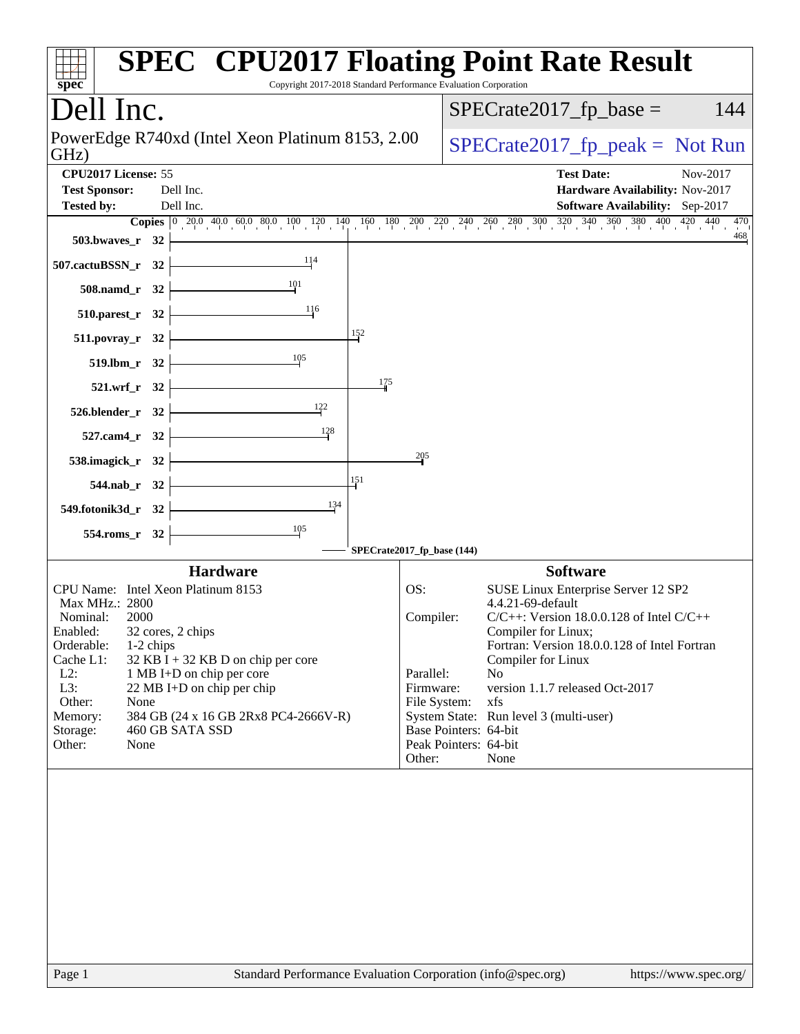| Copyright 2017-2018 Standard Performance Evaluation Corporation<br>$spec^*$              |                            | <b>SPEC<sup>®</sup> CPU2017 Floating Point Rate Result</b>                                                                                                                             |
|------------------------------------------------------------------------------------------|----------------------------|----------------------------------------------------------------------------------------------------------------------------------------------------------------------------------------|
| Dell Inc.                                                                                |                            | $SPECrate2017_fp\_base =$<br>144                                                                                                                                                       |
| PowerEdge R740xd (Intel Xeon Platinum 8153, 2.00<br>GHz)                                 |                            | $SPECrate2017_fp\_peak = Not Run$                                                                                                                                                      |
| CPU2017 License: 55<br><b>Test Sponsor:</b><br>Dell Inc.                                 |                            | <b>Test Date:</b><br>Nov-2017<br>Hardware Availability: Nov-2017                                                                                                                       |
| Dell Inc.<br><b>Tested by:</b>                                                           |                            | Software Availability: Sep-2017<br>470                                                                                                                                                 |
| $503.bwaves_r 32$                                                                        |                            | <b>Copies</b> $\begin{bmatrix} 0 & 20 & 40 & 60 & 80 & 100 & 120 & 140 & 160 & 180 & 200 & 220 & 240 & 260 & 280 & 300 & 320 & 340 & 360 & 380 & 400 & 420 & 440 \end{bmatrix}$<br>468 |
| $507$ .cactuBSSN_r 32                                                                    |                            |                                                                                                                                                                                        |
| 101<br>$508$ .namd_r 32 $\vdash$                                                         |                            |                                                                                                                                                                                        |
| 116<br>$510.parest_r 32$                                                                 |                            |                                                                                                                                                                                        |
| 152<br>$511. povray_r 32$                                                                |                            |                                                                                                                                                                                        |
| $\frac{105}{2}$<br>$519.1 \text{bm}$ r 32                                                |                            |                                                                                                                                                                                        |
| $521.wrf_r 32$                                                                           | 175                        |                                                                                                                                                                                        |
| $526. \text{blender}_r$ $32$<br>$\frac{122}{1}$                                          |                            |                                                                                                                                                                                        |
| 128<br>$527$ .cam4_r $32 \n\big\}$                                                       |                            |                                                                                                                                                                                        |
| 538.imagick_r $32$ $\overline{\phantom{1}}$                                              | 205                        |                                                                                                                                                                                        |
| 151<br>$544.nab_r$ 32                                                                    |                            |                                                                                                                                                                                        |
| 134<br>549.fotonik3d_r 32 $\vdash$                                                       |                            |                                                                                                                                                                                        |
| $\frac{105}{1}$<br>$554$ .roms_r 32                                                      | SPECrate2017_fp_base (144) |                                                                                                                                                                                        |
| <b>Hardware</b>                                                                          |                            | <b>Software</b>                                                                                                                                                                        |
| CPU Name: Intel Xeon Platinum 8153<br>Max MHz.: 2800                                     | OS:                        | SUSE Linux Enterprise Server 12 SP2<br>4.4.21-69-default                                                                                                                               |
| Nominal:<br>2000                                                                         | Compiler:                  | $C/C++$ : Version 18.0.0.128 of Intel $C/C++$                                                                                                                                          |
| 32 cores, 2 chips<br>Enabled:<br>Orderable:<br>1-2 chips                                 |                            | Compiler for Linux;<br>Fortran: Version 18.0.0.128 of Intel Fortran                                                                                                                    |
| Cache L1:<br>$32$ KB I + 32 KB D on chip per core<br>$L2$ :<br>1 MB I+D on chip per core | Parallel:                  | Compiler for Linux<br>No                                                                                                                                                               |
| L3:<br>22 MB I+D on chip per chip<br>Other:<br>None                                      | Firmware:<br>File System:  | version 1.1.7 released Oct-2017<br>xfs                                                                                                                                                 |
| 384 GB (24 x 16 GB 2Rx8 PC4-2666V-R)<br>Memory:                                          |                            | System State: Run level 3 (multi-user)                                                                                                                                                 |
| 460 GB SATA SSD<br>Storage:<br>Other:<br>None                                            |                            | Base Pointers: 64-bit<br>Peak Pointers: 64-bit                                                                                                                                         |
|                                                                                          | Other:                     | None                                                                                                                                                                                   |
|                                                                                          |                            |                                                                                                                                                                                        |
|                                                                                          |                            |                                                                                                                                                                                        |
|                                                                                          |                            |                                                                                                                                                                                        |
|                                                                                          |                            |                                                                                                                                                                                        |
|                                                                                          |                            |                                                                                                                                                                                        |
|                                                                                          |                            |                                                                                                                                                                                        |
| Standard Performance Evaluation Corporation (info@spec.org)<br>Page 1                    |                            | https://www.spec.org/                                                                                                                                                                  |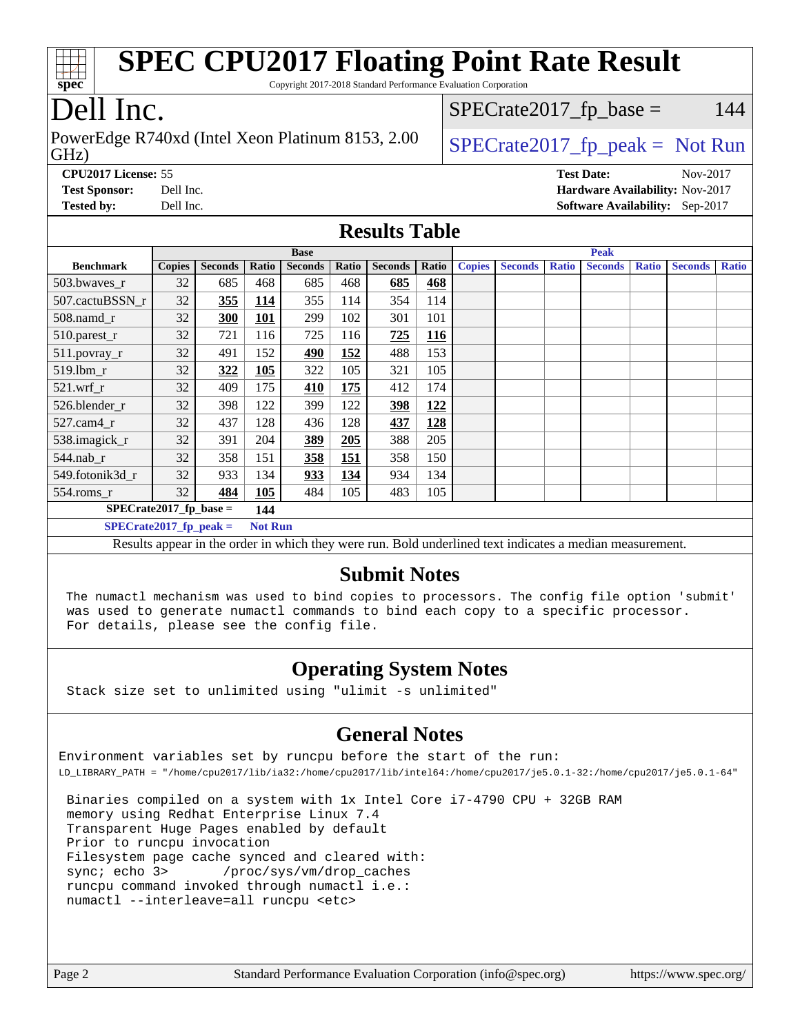| <b>SPEC CPU2017 Floating Point Rate Result</b><br>Copyright 2017-2018 Standard Performance Evaluation Corporation<br>spec                                                        |                                        |                |            |                |            |                      |            |               |                |              |                   |              |                                        |              |
|----------------------------------------------------------------------------------------------------------------------------------------------------------------------------------|----------------------------------------|----------------|------------|----------------|------------|----------------------|------------|---------------|----------------|--------------|-------------------|--------------|----------------------------------------|--------------|
|                                                                                                                                                                                  | Dell Inc.<br>$SPECrate2017_fp\_base =$ |                |            |                |            |                      |            | 144           |                |              |                   |              |                                        |              |
| PowerEdge R740xd (Intel Xeon Platinum 8153, 2.00<br>$SPECrate2017fr peak = Not Run$<br>GHz)                                                                                      |                                        |                |            |                |            |                      |            |               |                |              |                   |              |                                        |              |
| CPU2017 License: 55                                                                                                                                                              |                                        |                |            |                |            |                      |            |               |                |              | <b>Test Date:</b> |              | Nov-2017                               |              |
| <b>Test Sponsor:</b>                                                                                                                                                             | Dell Inc.                              |                |            |                |            |                      |            |               |                |              |                   |              | <b>Hardware Availability: Nov-2017</b> |              |
| <b>Tested by:</b>                                                                                                                                                                | Dell Inc.                              |                |            |                |            |                      |            |               |                |              |                   |              | Software Availability: Sep-2017        |              |
|                                                                                                                                                                                  |                                        |                |            |                |            | <b>Results Table</b> |            |               |                |              |                   |              |                                        |              |
|                                                                                                                                                                                  |                                        |                |            | <b>Base</b>    |            |                      |            |               |                |              | <b>Peak</b>       |              |                                        |              |
| <b>Benchmark</b>                                                                                                                                                                 | <b>Copies</b>                          | <b>Seconds</b> | Ratio      | <b>Seconds</b> | Ratio      | <b>Seconds</b>       | Ratio      | <b>Copies</b> | <b>Seconds</b> | <b>Ratio</b> | <b>Seconds</b>    | <b>Ratio</b> | <b>Seconds</b>                         | <b>Ratio</b> |
| 503.bwayes r                                                                                                                                                                     | 32                                     | 685            | 468        | 685            | 468        | 685                  | 468        |               |                |              |                   |              |                                        |              |
| 507.cactuBSSN r                                                                                                                                                                  | 32                                     | 355            | 114        | 355            | 114        | 354                  | 114        |               |                |              |                   |              |                                        |              |
| $508$ .namd $r$                                                                                                                                                                  | 32                                     | 300            | <b>101</b> | 299            | 102        | 301<br>725           | 101<br>116 |               |                |              |                   |              |                                        |              |
| 510.parest_r                                                                                                                                                                     | 32<br>32                               | 721<br>491     | 116<br>152 | 725<br>490     | 116<br>152 | 488                  | 153        |               |                |              |                   |              |                                        |              |
| 511.povray_r<br>519.1bm_r                                                                                                                                                        | 32                                     | 322            | 105        | 322            | 105        | 321                  | 105        |               |                |              |                   |              |                                        |              |
| 521.wrf                                                                                                                                                                          | 32                                     | 409            | 175        | 410            | 175        | 412                  | 174        |               |                |              |                   |              |                                        |              |
| 526.blender_r                                                                                                                                                                    | 32                                     | 398            | 122        | 399            | 122        | 398                  | 122        |               |                |              |                   |              |                                        |              |
| $527$ .cam $4r$                                                                                                                                                                  | 32                                     | 437            | 128        | 436            | 128        | 437                  | 128        |               |                |              |                   |              |                                        |              |
| 538.imagick_r                                                                                                                                                                    | 32                                     | 391            | 204        | 389            | 205        | 388                  | 205        |               |                |              |                   |              |                                        |              |
| 544.nab_r                                                                                                                                                                        | 32                                     | 358            | 151        | <b>358</b>     | 151        | 358                  | 150        |               |                |              |                   |              |                                        |              |
| 549.fotonik3d r                                                                                                                                                                  | 32                                     | 933            | 134        | 933            | 134        | 934                  | 134        |               |                |              |                   |              |                                        |              |
| $554$ .roms r                                                                                                                                                                    | 32                                     | 484            | 105        | 484            | 105        | 483                  | 105        |               |                |              |                   |              |                                        |              |
| $SPECrate2017_fp\_base =$                                                                                                                                                        |                                        |                | 144        |                |            |                      |            |               |                |              |                   |              |                                        |              |
| $SPECrate2017_fp_peak =$<br><b>Not Run</b>                                                                                                                                       |                                        |                |            |                |            |                      |            |               |                |              |                   |              |                                        |              |
| Results appear in the order in which they were run. Bold underlined text indicates a median measurement.                                                                         |                                        |                |            |                |            |                      |            |               |                |              |                   |              |                                        |              |
| <b>Submit Notes</b>                                                                                                                                                              |                                        |                |            |                |            |                      |            |               |                |              |                   |              |                                        |              |
|                                                                                                                                                                                  |                                        |                |            |                |            |                      |            |               |                |              |                   |              |                                        |              |
| The numactl mechanism was used to bind copies to processors. The config file option 'submit'<br>was used to generate numactl commands to bind each copy to a specific processor. |                                        |                |            |                |            |                      |            |               |                |              |                   |              |                                        |              |
| For details, please see the config file.                                                                                                                                         |                                        |                |            |                |            |                      |            |               |                |              |                   |              |                                        |              |
| <b>Operating System Notes</b>                                                                                                                                                    |                                        |                |            |                |            |                      |            |               |                |              |                   |              |                                        |              |

Stack size set to unlimited using "ulimit -s unlimited"

#### **[General Notes](http://www.spec.org/auto/cpu2017/Docs/result-fields.html#GeneralNotes)**

Environment variables set by runcpu before the start of the run: LD\_LIBRARY\_PATH = "/home/cpu2017/lib/ia32:/home/cpu2017/lib/intel64:/home/cpu2017/je5.0.1-32:/home/cpu2017/je5.0.1-64"

 Binaries compiled on a system with 1x Intel Core i7-4790 CPU + 32GB RAM memory using Redhat Enterprise Linux 7.4 Transparent Huge Pages enabled by default Prior to runcpu invocation Filesystem page cache synced and cleared with: sync; echo 3> /proc/sys/vm/drop\_caches runcpu command invoked through numactl i.e.: numactl --interleave=all runcpu <etc>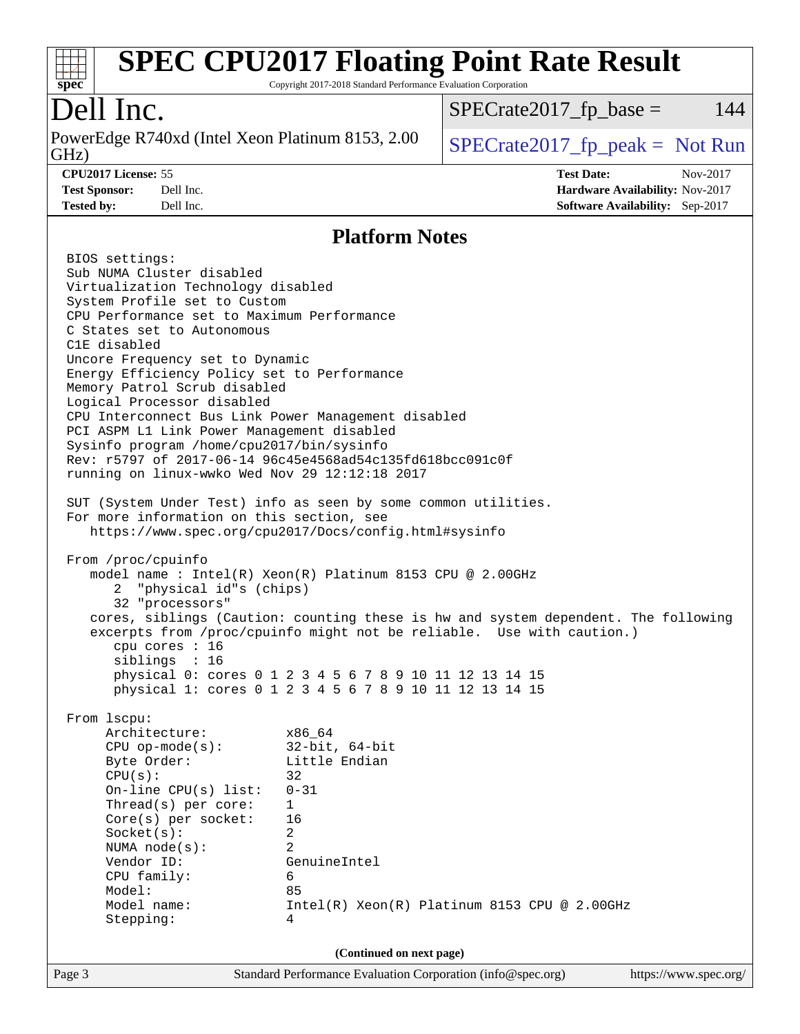

Copyright 2017-2018 Standard Performance Evaluation Corporation

## Dell Inc.

GHz) PowerEdge R740xd (Intel Xeon Platinum 8153, 2.00  $\big|$  SPECrate 2017 fp peak = Not Run

 $SPECTate2017<sub>fr</sub> base = 144$ 

#### **[CPU2017 License:](http://www.spec.org/auto/cpu2017/Docs/result-fields.html#CPU2017License)** 55 **[Test Date:](http://www.spec.org/auto/cpu2017/Docs/result-fields.html#TestDate)** Nov-2017

**[Test Sponsor:](http://www.spec.org/auto/cpu2017/Docs/result-fields.html#TestSponsor)** Dell Inc. **[Hardware Availability:](http://www.spec.org/auto/cpu2017/Docs/result-fields.html#HardwareAvailability)** Nov-2017 **[Tested by:](http://www.spec.org/auto/cpu2017/Docs/result-fields.html#Testedby)** Dell Inc. **[Software Availability:](http://www.spec.org/auto/cpu2017/Docs/result-fields.html#SoftwareAvailability)** Sep-2017

#### **[Platform Notes](http://www.spec.org/auto/cpu2017/Docs/result-fields.html#PlatformNotes)**

Page 3 Standard Performance Evaluation Corporation [\(info@spec.org\)](mailto:info@spec.org) <https://www.spec.org/> BIOS settings: Sub NUMA Cluster disabled Virtualization Technology disabled System Profile set to Custom CPU Performance set to Maximum Performance C States set to Autonomous C1E disabled Uncore Frequency set to Dynamic Energy Efficiency Policy set to Performance Memory Patrol Scrub disabled Logical Processor disabled CPU Interconnect Bus Link Power Management disabled PCI ASPM L1 Link Power Management disabled Sysinfo program /home/cpu2017/bin/sysinfo Rev: r5797 of 2017-06-14 96c45e4568ad54c135fd618bcc091c0f running on linux-wwko Wed Nov 29 12:12:18 2017 SUT (System Under Test) info as seen by some common utilities. For more information on this section, see <https://www.spec.org/cpu2017/Docs/config.html#sysinfo> From /proc/cpuinfo model name : Intel(R) Xeon(R) Platinum 8153 CPU @ 2.00GHz 2 "physical id"s (chips) 32 "processors" cores, siblings (Caution: counting these is hw and system dependent. The following excerpts from /proc/cpuinfo might not be reliable. Use with caution.) cpu cores : 16 siblings : 16 physical 0: cores 0 1 2 3 4 5 6 7 8 9 10 11 12 13 14 15 physical 1: cores 0 1 2 3 4 5 6 7 8 9 10 11 12 13 14 15 From lscpu: Architecture: x86\_64 CPU op-mode(s): 32-bit, 64-bit Byte Order: Little Endian  $CPU(s):$  32 On-line CPU(s) list: 0-31 Thread(s) per core: 1 Core(s) per socket: 16 Socket(s): 2 NUMA node(s): 2 Vendor ID: GenuineIntel CPU family: 6 Model: 85 Model name: Intel(R) Xeon(R) Platinum 8153 CPU @ 2.00GHz Stepping: 4 **(Continued on next page)**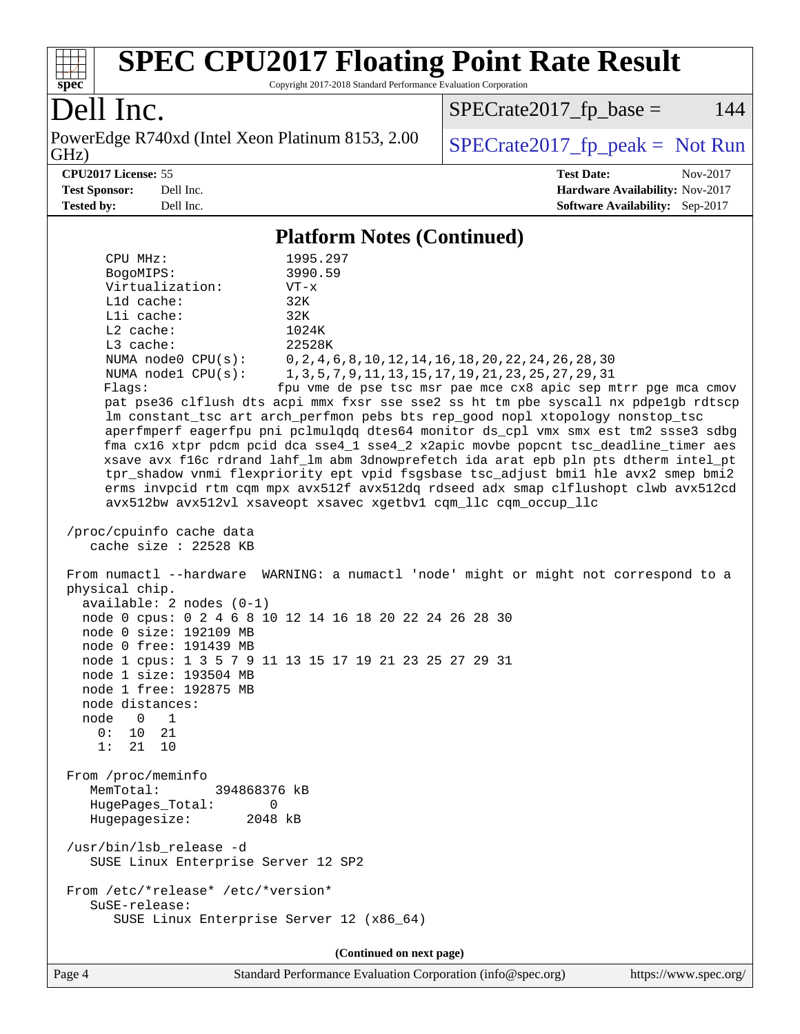

Copyright 2017-2018 Standard Performance Evaluation Corporation

## Dell Inc.

PowerEdge R740xd (Intel Xeon Platinum 8153, 2.00 GHz)

 $SPECTate 2017_fp\_peak = Not Run$  $SPECTate2017_fp\_base = 144$ 

**[CPU2017 License:](http://www.spec.org/auto/cpu2017/Docs/result-fields.html#CPU2017License)** 55 **[Test Date:](http://www.spec.org/auto/cpu2017/Docs/result-fields.html#TestDate)** Nov-2017 **[Test Sponsor:](http://www.spec.org/auto/cpu2017/Docs/result-fields.html#TestSponsor)** Dell Inc. **[Hardware Availability:](http://www.spec.org/auto/cpu2017/Docs/result-fields.html#HardwareAvailability)** Nov-2017 **[Tested by:](http://www.spec.org/auto/cpu2017/Docs/result-fields.html#Testedby)** Dell Inc. **[Software Availability:](http://www.spec.org/auto/cpu2017/Docs/result-fields.html#SoftwareAvailability)** Sep-2017

#### **[Platform Notes \(Continued\)](http://www.spec.org/auto/cpu2017/Docs/result-fields.html#PlatformNotes)**

| 1 ianul 11000 (Continuea)<br>CPU MHz:<br>1995.297<br>3990.59<br>BogoMIPS:<br>Virtualization:<br>$VT - x$<br>L1d cache:<br>32K<br>Lli cache:<br>32K<br>$L2$ cache:<br>1024K<br>L3 cache:<br>22528K<br>NUMA $node0$ $CPU(s):$<br>0, 2, 4, 6, 8, 10, 12, 14, 16, 18, 20, 22, 24, 26, 28, 30<br>NUMA nodel CPU(s):<br>1, 3, 5, 7, 9, 11, 13, 15, 17, 19, 21, 23, 25, 27, 29, 31<br>fpu vme de pse tsc msr pae mce cx8 apic sep mtrr pge mca cmov<br>Flags:<br>pat pse36 clflush dts acpi mmx fxsr sse sse2 ss ht tm pbe syscall nx pdpelgb rdtscp<br>lm constant_tsc art arch_perfmon pebs bts rep_good nopl xtopology nonstop_tsc<br>aperfmperf eagerfpu pni pclmulqdq dtes64 monitor ds_cpl vmx smx est tm2 ssse3 sdbg<br>fma cx16 xtpr pdcm pcid dca sse4_1 sse4_2 x2apic movbe popcnt tsc_deadline_timer aes<br>xsave avx f16c rdrand lahf_lm abm 3dnowprefetch ida arat epb pln pts dtherm intel_pt<br>tpr_shadow vnmi flexpriority ept vpid fsgsbase tsc_adjust bmil hle avx2 smep bmi2<br>erms invpcid rtm cqm mpx avx512f avx512dq rdseed adx smap clflushopt clwb avx512cd<br>avx512bw avx512vl xsaveopt xsavec xgetbvl cqm_llc cqm_occup_llc |
|----------------------------------------------------------------------------------------------------------------------------------------------------------------------------------------------------------------------------------------------------------------------------------------------------------------------------------------------------------------------------------------------------------------------------------------------------------------------------------------------------------------------------------------------------------------------------------------------------------------------------------------------------------------------------------------------------------------------------------------------------------------------------------------------------------------------------------------------------------------------------------------------------------------------------------------------------------------------------------------------------------------------------------------------------------------------------------------------------------------------------------------------------|
|                                                                                                                                                                                                                                                                                                                                                                                                                                                                                                                                                                                                                                                                                                                                                                                                                                                                                                                                                                                                                                                                                                                                                    |
| /proc/cpuinfo cache data<br>cache size : 22528 KB                                                                                                                                                                                                                                                                                                                                                                                                                                                                                                                                                                                                                                                                                                                                                                                                                                                                                                                                                                                                                                                                                                  |
| From numactl --hardware WARNING: a numactl 'node' might or might not correspond to a<br>physical chip.<br>$available: 2 nodes (0-1)$<br>node 0 cpus: 0 2 4 6 8 10 12 14 16 18 20 22 24 26 28 30<br>node 0 size: 192109 MB<br>node 0 free: 191439 MB<br>node 1 cpus: 1 3 5 7 9 11 13 15 17 19 21 23 25 27 29 31<br>node 1 size: 193504 MB<br>node 1 free: 192875 MB<br>node distances:<br>node 0 1<br>0: 10 21<br>1:<br>21 10                                                                                                                                                                                                                                                                                                                                                                                                                                                                                                                                                                                                                                                                                                                       |
| From /proc/meminfo<br>MemTotal:<br>394868376 kB<br>HugePages_Total:<br>0<br>2048 kB<br>Hugepagesize:                                                                                                                                                                                                                                                                                                                                                                                                                                                                                                                                                                                                                                                                                                                                                                                                                                                                                                                                                                                                                                               |
| /usr/bin/lsb release -d<br>SUSE Linux Enterprise Server 12 SP2                                                                                                                                                                                                                                                                                                                                                                                                                                                                                                                                                                                                                                                                                                                                                                                                                                                                                                                                                                                                                                                                                     |
| From /etc/*release* /etc/*version*<br>SuSE-release:<br>SUSE Linux Enterprise Server 12 (x86_64)                                                                                                                                                                                                                                                                                                                                                                                                                                                                                                                                                                                                                                                                                                                                                                                                                                                                                                                                                                                                                                                    |
| (Continued on next page)                                                                                                                                                                                                                                                                                                                                                                                                                                                                                                                                                                                                                                                                                                                                                                                                                                                                                                                                                                                                                                                                                                                           |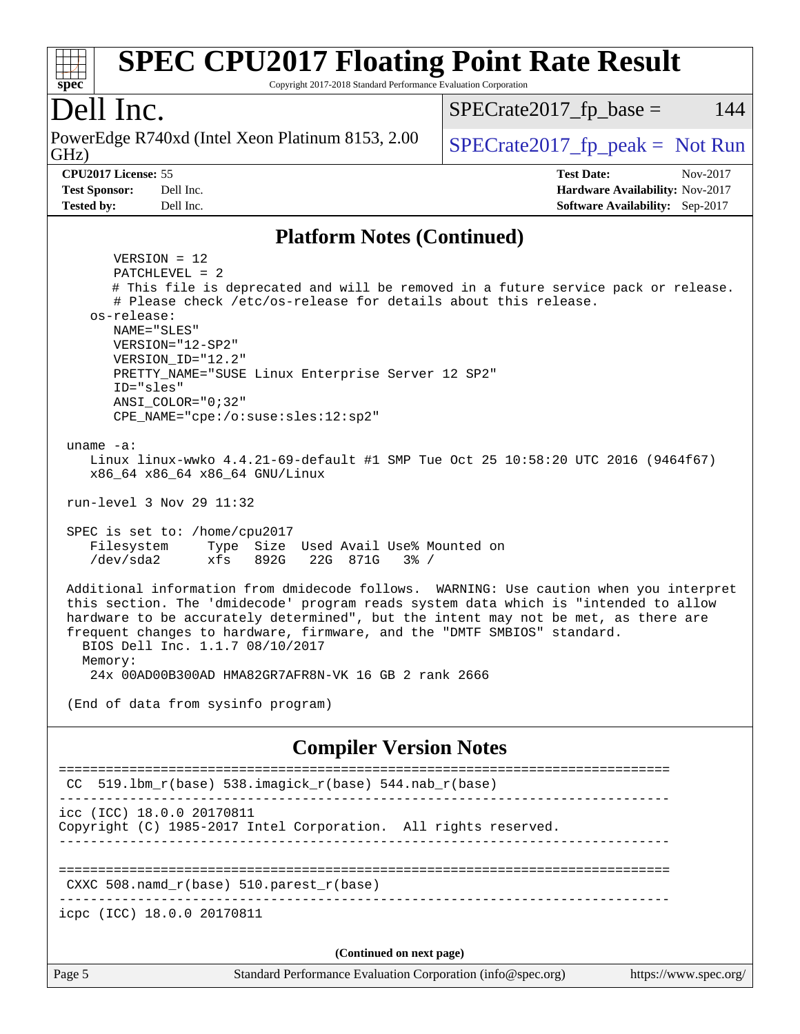#### **[spec](http://www.spec.org/) [SPEC CPU2017 Floating Point Rate Result](http://www.spec.org/auto/cpu2017/Docs/result-fields.html#SPECCPU2017FloatingPointRateResult)** Copyright 2017-2018 Standard Performance Evaluation Corporation Dell Inc. GHz) PowerEdge R740xd (Intel Xeon Platinum 8153, 2.00  $\big|$  SPECrate 2017 fp peak = Not Run  $SPECTate2017<sub>fr</sub> base = 144$ **[CPU2017 License:](http://www.spec.org/auto/cpu2017/Docs/result-fields.html#CPU2017License)** 55 **[Test Date:](http://www.spec.org/auto/cpu2017/Docs/result-fields.html#TestDate)** Nov-2017 **[Test Sponsor:](http://www.spec.org/auto/cpu2017/Docs/result-fields.html#TestSponsor)** Dell Inc. **[Hardware Availability:](http://www.spec.org/auto/cpu2017/Docs/result-fields.html#HardwareAvailability)** Nov-2017 **[Tested by:](http://www.spec.org/auto/cpu2017/Docs/result-fields.html#Testedby)** Dell Inc. **[Software Availability:](http://www.spec.org/auto/cpu2017/Docs/result-fields.html#SoftwareAvailability)** Sep-2017 **[Platform Notes \(Continued\)](http://www.spec.org/auto/cpu2017/Docs/result-fields.html#PlatformNotes)** VERSION = 12 PATCHLEVEL = 2 # This file is deprecated and will be removed in a future service pack or release. # Please check /etc/os-release for details about this release. os-release: NAME="SLES" VERSION="12-SP2" VERSION\_ID="12.2" PRETTY\_NAME="SUSE Linux Enterprise Server 12 SP2" ID="sles" ANSI\_COLOR="0;32" CPE\_NAME="cpe:/o:suse:sles:12:sp2" uname -a: Linux linux-wwko 4.4.21-69-default #1 SMP Tue Oct 25 10:58:20 UTC 2016 (9464f67) x86\_64 x86\_64 x86\_64 GNU/Linux run-level 3 Nov 29 11:32 SPEC is set to: /home/cpu2017 Filesystem Type Size Used Avail Use% Mounted on /dev/sda2 xfs 892G 22G 871G 3% / Additional information from dmidecode follows. WARNING: Use caution when you interpret this section. The 'dmidecode' program reads system data which is "intended to allow hardware to be accurately determined", but the intent may not be met, as there are frequent changes to hardware, firmware, and the "DMTF SMBIOS" standard. BIOS Dell Inc. 1.1.7 08/10/2017 Memory: 24x 00AD00B300AD HMA82GR7AFR8N-VK 16 GB 2 rank 2666 (End of data from sysinfo program) **[Compiler Version Notes](http://www.spec.org/auto/cpu2017/Docs/result-fields.html#CompilerVersionNotes)** ============================================================================== CC 519.1bm  $r(base)$  538.imagick  $r(base)$  544.nab  $r(base)$ ----------------------------------------------------------------------------- icc (ICC) 18.0.0 20170811 Copyright (C) 1985-2017 Intel Corporation. All rights reserved. ------------------------------------------------------------------------------ ============================================================================== CXXC 508.namd\_r(base) 510.parest\_r(base) ----------------------------------------------------------------------------- icpc (ICC) 18.0.0 20170811 **(Continued on next page)**

Page 5 Standard Performance Evaluation Corporation [\(info@spec.org\)](mailto:info@spec.org) <https://www.spec.org/>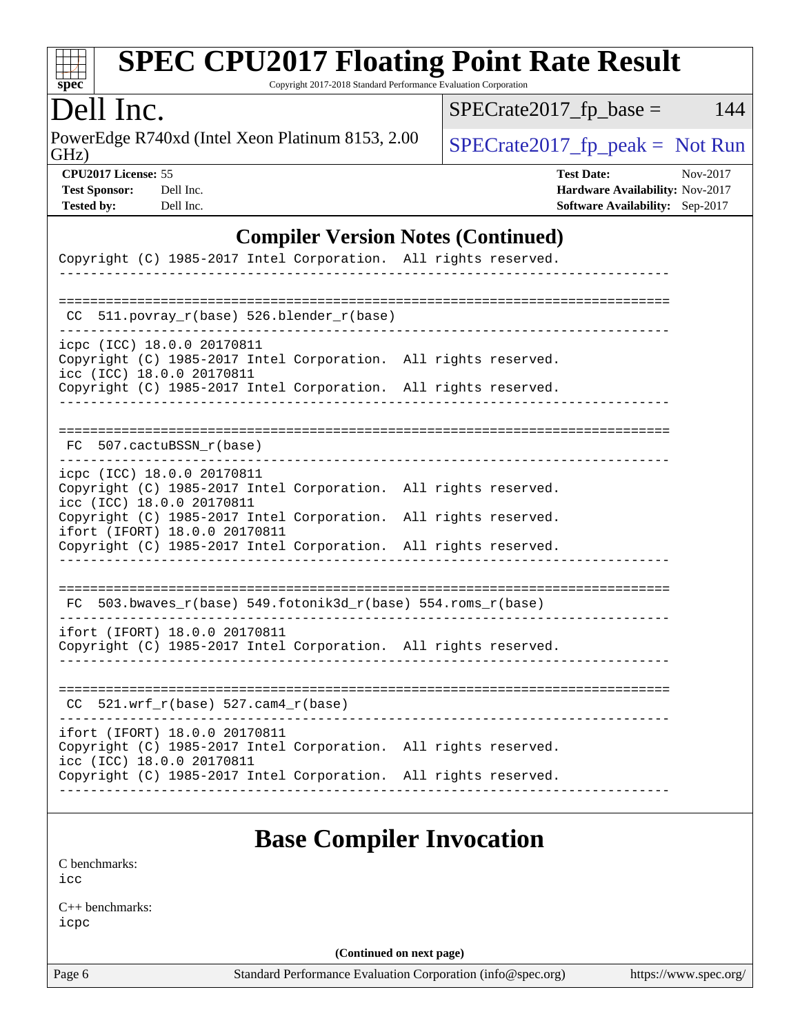

Copyright 2017-2018 Standard Performance Evaluation Corporation

## Dell Inc.

GHz) PowerEdge R740xd (Intel Xeon Platinum 8153, 2.00  $SPECTR = SPEC = 2017$   $fp\_peak = Not Run$ 

 $SPECrate2017_fp\_base = 144$ 

| -----                     |  |
|---------------------------|--|
| <b>CPU2017 License: :</b> |  |

| <b>Test Sponsor:</b> | Dell In |
|----------------------|---------|
| Tested hv:           | Dell In |

**[CPU2017 License:](http://www.spec.org/auto/cpu2017/Docs/result-fields.html#CPU2017License)** 55 **[Test Date:](http://www.spec.org/auto/cpu2017/Docs/result-fields.html#TestDate)** Nov-2017 **[Test Sponsor:](http://www.spec.org/auto/cpu2017/Docs/result-fields.html#TestSponsor) [Hardware Availability:](http://www.spec.org/auto/cpu2017/Docs/result-fields.html#HardwareAvailability)** Nov-2017 **[Tested by:](http://www.spec.org/auto/cpu2017/Docs/result-fields.html#Testedby) [Software Availability:](http://www.spec.org/auto/cpu2017/Docs/result-fields.html#SoftwareAvailability)** Sep-2017

#### **[Compiler Version Notes \(Continued\)](http://www.spec.org/auto/cpu2017/Docs/result-fields.html#CompilerVersionNotes)**

| Copyright (C) 1985-2017 Intel Corporation. All rights reserved.                                                                                                                                                                |  |
|--------------------------------------------------------------------------------------------------------------------------------------------------------------------------------------------------------------------------------|--|
| 511.povray_r(base) 526.blender_r(base)<br>CC.                                                                                                                                                                                  |  |
| icpc (ICC) 18.0.0 20170811<br>Copyright (C) 1985-2017 Intel Corporation. All rights reserved.<br>icc (ICC) 18.0.0 20170811<br>Copyright (C) 1985-2017 Intel Corporation. All rights reserved.                                  |  |
| FC 507.cactuBSSN r(base)                                                                                                                                                                                                       |  |
| icpc (ICC) 18.0.0 20170811<br>Copyright (C) 1985-2017 Intel Corporation. All rights reserved.<br>icc (ICC) 18.0.0 20170811<br>Copyright (C) 1985-2017 Intel Corporation. All rights reserved.<br>ifort (IFORT) 18.0.0 20170811 |  |
| Copyright (C) 1985-2017 Intel Corporation. All rights reserved.                                                                                                                                                                |  |
| FC 503.bwaves_r(base) 549.fotonik3d_r(base) 554.roms_r(base)                                                                                                                                                                   |  |
| ifort (IFORT) 18.0.0 20170811<br>Copyright (C) 1985-2017 Intel Corporation. All rights reserved.                                                                                                                               |  |
| $CC$ 521.wrf_ $r(base)$ 527.cam4_ $r(base)$                                                                                                                                                                                    |  |
| ifort (IFORT) 18.0.0 20170811<br>Copyright (C) 1985-2017 Intel Corporation. All rights reserved.<br>icc (ICC) 18.0.0 20170811<br>Copyright (C) 1985-2017 Intel Corporation. All rights reserved.                               |  |
|                                                                                                                                                                                                                                |  |

## **[Base Compiler Invocation](http://www.spec.org/auto/cpu2017/Docs/result-fields.html#BaseCompilerInvocation)**

[C benchmarks](http://www.spec.org/auto/cpu2017/Docs/result-fields.html#Cbenchmarks): [icc](http://www.spec.org/cpu2017/results/res2017q4/cpu2017-20171208-01366.flags.html#user_CCbase_intel_icc_18.0_66fc1ee009f7361af1fbd72ca7dcefbb700085f36577c54f309893dd4ec40d12360134090235512931783d35fd58c0460139e722d5067c5574d8eaf2b3e37e92)

[C++ benchmarks:](http://www.spec.org/auto/cpu2017/Docs/result-fields.html#CXXbenchmarks) [icpc](http://www.spec.org/cpu2017/results/res2017q4/cpu2017-20171208-01366.flags.html#user_CXXbase_intel_icpc_18.0_c510b6838c7f56d33e37e94d029a35b4a7bccf4766a728ee175e80a419847e808290a9b78be685c44ab727ea267ec2f070ec5dc83b407c0218cded6866a35d07)

**(Continued on next page)**

Page 6 Standard Performance Evaluation Corporation [\(info@spec.org\)](mailto:info@spec.org) <https://www.spec.org/>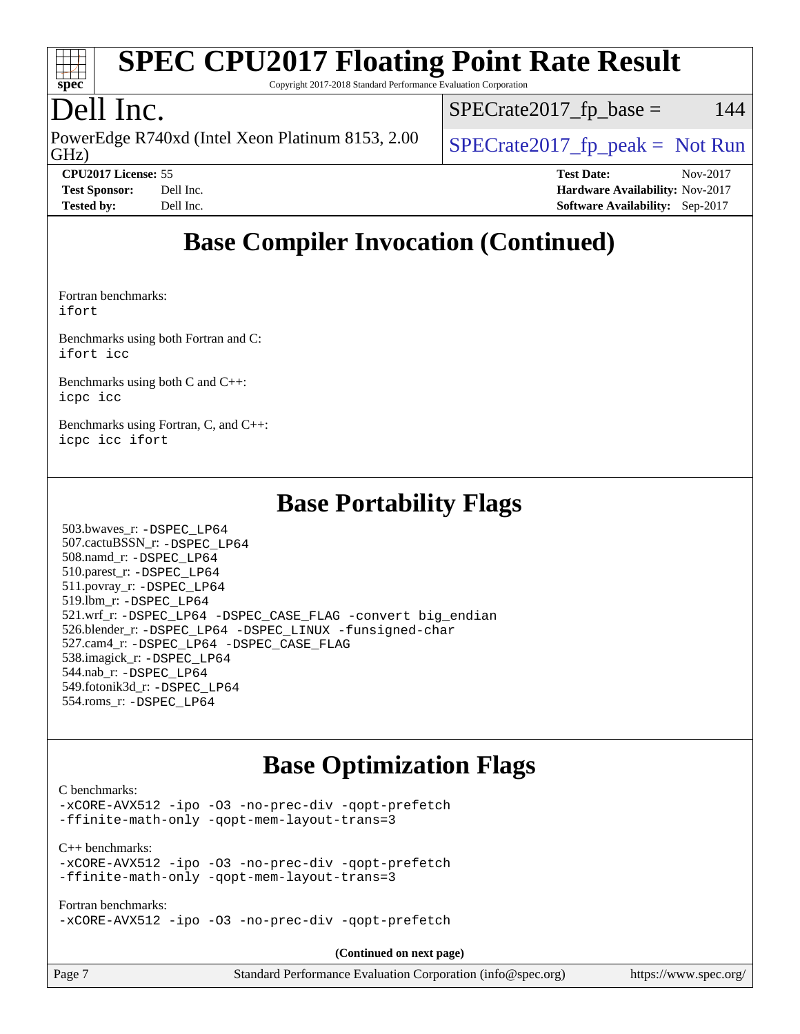

Copyright 2017-2018 Standard Performance Evaluation Corporation

## Dell Inc.

GHz) PowerEdge R740xd (Intel Xeon Platinum 8153, 2.00  $\big|$  SPECrate 2017 fp peak = Not Run

 $SPECTate2017<sub>fr</sub> base = 144$ 

**[CPU2017 License:](http://www.spec.org/auto/cpu2017/Docs/result-fields.html#CPU2017License)** 55 **[Test Date:](http://www.spec.org/auto/cpu2017/Docs/result-fields.html#TestDate)** Nov-2017 **[Test Sponsor:](http://www.spec.org/auto/cpu2017/Docs/result-fields.html#TestSponsor)** Dell Inc. **[Hardware Availability:](http://www.spec.org/auto/cpu2017/Docs/result-fields.html#HardwareAvailability)** Nov-2017 **[Tested by:](http://www.spec.org/auto/cpu2017/Docs/result-fields.html#Testedby)** Dell Inc. **[Software Availability:](http://www.spec.org/auto/cpu2017/Docs/result-fields.html#SoftwareAvailability)** Sep-2017

## **[Base Compiler Invocation \(Continued\)](http://www.spec.org/auto/cpu2017/Docs/result-fields.html#BaseCompilerInvocation)**

[Fortran benchmarks](http://www.spec.org/auto/cpu2017/Docs/result-fields.html#Fortranbenchmarks): [ifort](http://www.spec.org/cpu2017/results/res2017q4/cpu2017-20171208-01366.flags.html#user_FCbase_intel_ifort_18.0_8111460550e3ca792625aed983ce982f94888b8b503583aa7ba2b8303487b4d8a21a13e7191a45c5fd58ff318f48f9492884d4413fa793fd88dd292cad7027ca)

[Benchmarks using both Fortran and C](http://www.spec.org/auto/cpu2017/Docs/result-fields.html#BenchmarksusingbothFortranandC): [ifort](http://www.spec.org/cpu2017/results/res2017q4/cpu2017-20171208-01366.flags.html#user_CC_FCbase_intel_ifort_18.0_8111460550e3ca792625aed983ce982f94888b8b503583aa7ba2b8303487b4d8a21a13e7191a45c5fd58ff318f48f9492884d4413fa793fd88dd292cad7027ca) [icc](http://www.spec.org/cpu2017/results/res2017q4/cpu2017-20171208-01366.flags.html#user_CC_FCbase_intel_icc_18.0_66fc1ee009f7361af1fbd72ca7dcefbb700085f36577c54f309893dd4ec40d12360134090235512931783d35fd58c0460139e722d5067c5574d8eaf2b3e37e92)

[Benchmarks using both C and C++](http://www.spec.org/auto/cpu2017/Docs/result-fields.html#BenchmarksusingbothCandCXX): [icpc](http://www.spec.org/cpu2017/results/res2017q4/cpu2017-20171208-01366.flags.html#user_CC_CXXbase_intel_icpc_18.0_c510b6838c7f56d33e37e94d029a35b4a7bccf4766a728ee175e80a419847e808290a9b78be685c44ab727ea267ec2f070ec5dc83b407c0218cded6866a35d07) [icc](http://www.spec.org/cpu2017/results/res2017q4/cpu2017-20171208-01366.flags.html#user_CC_CXXbase_intel_icc_18.0_66fc1ee009f7361af1fbd72ca7dcefbb700085f36577c54f309893dd4ec40d12360134090235512931783d35fd58c0460139e722d5067c5574d8eaf2b3e37e92)

[Benchmarks using Fortran, C, and C++:](http://www.spec.org/auto/cpu2017/Docs/result-fields.html#BenchmarksusingFortranCandCXX) [icpc](http://www.spec.org/cpu2017/results/res2017q4/cpu2017-20171208-01366.flags.html#user_CC_CXX_FCbase_intel_icpc_18.0_c510b6838c7f56d33e37e94d029a35b4a7bccf4766a728ee175e80a419847e808290a9b78be685c44ab727ea267ec2f070ec5dc83b407c0218cded6866a35d07) [icc](http://www.spec.org/cpu2017/results/res2017q4/cpu2017-20171208-01366.flags.html#user_CC_CXX_FCbase_intel_icc_18.0_66fc1ee009f7361af1fbd72ca7dcefbb700085f36577c54f309893dd4ec40d12360134090235512931783d35fd58c0460139e722d5067c5574d8eaf2b3e37e92) [ifort](http://www.spec.org/cpu2017/results/res2017q4/cpu2017-20171208-01366.flags.html#user_CC_CXX_FCbase_intel_ifort_18.0_8111460550e3ca792625aed983ce982f94888b8b503583aa7ba2b8303487b4d8a21a13e7191a45c5fd58ff318f48f9492884d4413fa793fd88dd292cad7027ca)

#### **[Base Portability Flags](http://www.spec.org/auto/cpu2017/Docs/result-fields.html#BasePortabilityFlags)**

 503.bwaves\_r: [-DSPEC\\_LP64](http://www.spec.org/cpu2017/results/res2017q4/cpu2017-20171208-01366.flags.html#suite_basePORTABILITY503_bwaves_r_DSPEC_LP64) 507.cactuBSSN\_r: [-DSPEC\\_LP64](http://www.spec.org/cpu2017/results/res2017q4/cpu2017-20171208-01366.flags.html#suite_basePORTABILITY507_cactuBSSN_r_DSPEC_LP64) 508.namd\_r: [-DSPEC\\_LP64](http://www.spec.org/cpu2017/results/res2017q4/cpu2017-20171208-01366.flags.html#suite_basePORTABILITY508_namd_r_DSPEC_LP64) 510.parest\_r: [-DSPEC\\_LP64](http://www.spec.org/cpu2017/results/res2017q4/cpu2017-20171208-01366.flags.html#suite_basePORTABILITY510_parest_r_DSPEC_LP64) 511.povray\_r: [-DSPEC\\_LP64](http://www.spec.org/cpu2017/results/res2017q4/cpu2017-20171208-01366.flags.html#suite_basePORTABILITY511_povray_r_DSPEC_LP64) 519.lbm\_r: [-DSPEC\\_LP64](http://www.spec.org/cpu2017/results/res2017q4/cpu2017-20171208-01366.flags.html#suite_basePORTABILITY519_lbm_r_DSPEC_LP64) 521.wrf\_r: [-DSPEC\\_LP64](http://www.spec.org/cpu2017/results/res2017q4/cpu2017-20171208-01366.flags.html#suite_basePORTABILITY521_wrf_r_DSPEC_LP64) [-DSPEC\\_CASE\\_FLAG](http://www.spec.org/cpu2017/results/res2017q4/cpu2017-20171208-01366.flags.html#b521.wrf_r_baseCPORTABILITY_DSPEC_CASE_FLAG) [-convert big\\_endian](http://www.spec.org/cpu2017/results/res2017q4/cpu2017-20171208-01366.flags.html#user_baseFPORTABILITY521_wrf_r_convert_big_endian_c3194028bc08c63ac5d04de18c48ce6d347e4e562e8892b8bdbdc0214820426deb8554edfa529a3fb25a586e65a3d812c835984020483e7e73212c4d31a38223) 526.blender\_r: [-DSPEC\\_LP64](http://www.spec.org/cpu2017/results/res2017q4/cpu2017-20171208-01366.flags.html#suite_basePORTABILITY526_blender_r_DSPEC_LP64) [-DSPEC\\_LINUX](http://www.spec.org/cpu2017/results/res2017q4/cpu2017-20171208-01366.flags.html#b526.blender_r_baseCPORTABILITY_DSPEC_LINUX) [-funsigned-char](http://www.spec.org/cpu2017/results/res2017q4/cpu2017-20171208-01366.flags.html#user_baseCPORTABILITY526_blender_r_force_uchar_40c60f00ab013830e2dd6774aeded3ff59883ba5a1fc5fc14077f794d777847726e2a5858cbc7672e36e1b067e7e5c1d9a74f7176df07886a243d7cc18edfe67) 527.cam4\_r: [-DSPEC\\_LP64](http://www.spec.org/cpu2017/results/res2017q4/cpu2017-20171208-01366.flags.html#suite_basePORTABILITY527_cam4_r_DSPEC_LP64) [-DSPEC\\_CASE\\_FLAG](http://www.spec.org/cpu2017/results/res2017q4/cpu2017-20171208-01366.flags.html#b527.cam4_r_baseCPORTABILITY_DSPEC_CASE_FLAG) 538.imagick\_r: [-DSPEC\\_LP64](http://www.spec.org/cpu2017/results/res2017q4/cpu2017-20171208-01366.flags.html#suite_basePORTABILITY538_imagick_r_DSPEC_LP64) 544.nab\_r: [-DSPEC\\_LP64](http://www.spec.org/cpu2017/results/res2017q4/cpu2017-20171208-01366.flags.html#suite_basePORTABILITY544_nab_r_DSPEC_LP64) 549.fotonik3d\_r: [-DSPEC\\_LP64](http://www.spec.org/cpu2017/results/res2017q4/cpu2017-20171208-01366.flags.html#suite_basePORTABILITY549_fotonik3d_r_DSPEC_LP64) 554.roms\_r: [-DSPEC\\_LP64](http://www.spec.org/cpu2017/results/res2017q4/cpu2017-20171208-01366.flags.html#suite_basePORTABILITY554_roms_r_DSPEC_LP64)

## **[Base Optimization Flags](http://www.spec.org/auto/cpu2017/Docs/result-fields.html#BaseOptimizationFlags)**

#### [C benchmarks](http://www.spec.org/auto/cpu2017/Docs/result-fields.html#Cbenchmarks):

[-xCORE-AVX512](http://www.spec.org/cpu2017/results/res2017q4/cpu2017-20171208-01366.flags.html#user_CCbase_f-xCORE-AVX512) [-ipo](http://www.spec.org/cpu2017/results/res2017q4/cpu2017-20171208-01366.flags.html#user_CCbase_f-ipo) [-O3](http://www.spec.org/cpu2017/results/res2017q4/cpu2017-20171208-01366.flags.html#user_CCbase_f-O3) [-no-prec-div](http://www.spec.org/cpu2017/results/res2017q4/cpu2017-20171208-01366.flags.html#user_CCbase_f-no-prec-div) [-qopt-prefetch](http://www.spec.org/cpu2017/results/res2017q4/cpu2017-20171208-01366.flags.html#user_CCbase_f-qopt-prefetch) [-ffinite-math-only](http://www.spec.org/cpu2017/results/res2017q4/cpu2017-20171208-01366.flags.html#user_CCbase_f_finite_math_only_cb91587bd2077682c4b38af759c288ed7c732db004271a9512da14a4f8007909a5f1427ecbf1a0fb78ff2a814402c6114ac565ca162485bbcae155b5e4258871) [-qopt-mem-layout-trans=3](http://www.spec.org/cpu2017/results/res2017q4/cpu2017-20171208-01366.flags.html#user_CCbase_f-qopt-mem-layout-trans_de80db37974c74b1f0e20d883f0b675c88c3b01e9d123adea9b28688d64333345fb62bc4a798493513fdb68f60282f9a726aa07f478b2f7113531aecce732043)

[C++ benchmarks:](http://www.spec.org/auto/cpu2017/Docs/result-fields.html#CXXbenchmarks)

[-xCORE-AVX512](http://www.spec.org/cpu2017/results/res2017q4/cpu2017-20171208-01366.flags.html#user_CXXbase_f-xCORE-AVX512) [-ipo](http://www.spec.org/cpu2017/results/res2017q4/cpu2017-20171208-01366.flags.html#user_CXXbase_f-ipo) [-O3](http://www.spec.org/cpu2017/results/res2017q4/cpu2017-20171208-01366.flags.html#user_CXXbase_f-O3) [-no-prec-div](http://www.spec.org/cpu2017/results/res2017q4/cpu2017-20171208-01366.flags.html#user_CXXbase_f-no-prec-div) [-qopt-prefetch](http://www.spec.org/cpu2017/results/res2017q4/cpu2017-20171208-01366.flags.html#user_CXXbase_f-qopt-prefetch) [-ffinite-math-only](http://www.spec.org/cpu2017/results/res2017q4/cpu2017-20171208-01366.flags.html#user_CXXbase_f_finite_math_only_cb91587bd2077682c4b38af759c288ed7c732db004271a9512da14a4f8007909a5f1427ecbf1a0fb78ff2a814402c6114ac565ca162485bbcae155b5e4258871) [-qopt-mem-layout-trans=3](http://www.spec.org/cpu2017/results/res2017q4/cpu2017-20171208-01366.flags.html#user_CXXbase_f-qopt-mem-layout-trans_de80db37974c74b1f0e20d883f0b675c88c3b01e9d123adea9b28688d64333345fb62bc4a798493513fdb68f60282f9a726aa07f478b2f7113531aecce732043)

[Fortran benchmarks](http://www.spec.org/auto/cpu2017/Docs/result-fields.html#Fortranbenchmarks): [-xCORE-AVX512](http://www.spec.org/cpu2017/results/res2017q4/cpu2017-20171208-01366.flags.html#user_FCbase_f-xCORE-AVX512) [-ipo](http://www.spec.org/cpu2017/results/res2017q4/cpu2017-20171208-01366.flags.html#user_FCbase_f-ipo) [-O3](http://www.spec.org/cpu2017/results/res2017q4/cpu2017-20171208-01366.flags.html#user_FCbase_f-O3) [-no-prec-div](http://www.spec.org/cpu2017/results/res2017q4/cpu2017-20171208-01366.flags.html#user_FCbase_f-no-prec-div) [-qopt-prefetch](http://www.spec.org/cpu2017/results/res2017q4/cpu2017-20171208-01366.flags.html#user_FCbase_f-qopt-prefetch)

**(Continued on next page)**

| e 7 |  |  |  |
|-----|--|--|--|
|     |  |  |  |

Page 7 Standard Performance Evaluation Corporation [\(info@spec.org\)](mailto:info@spec.org) <https://www.spec.org/>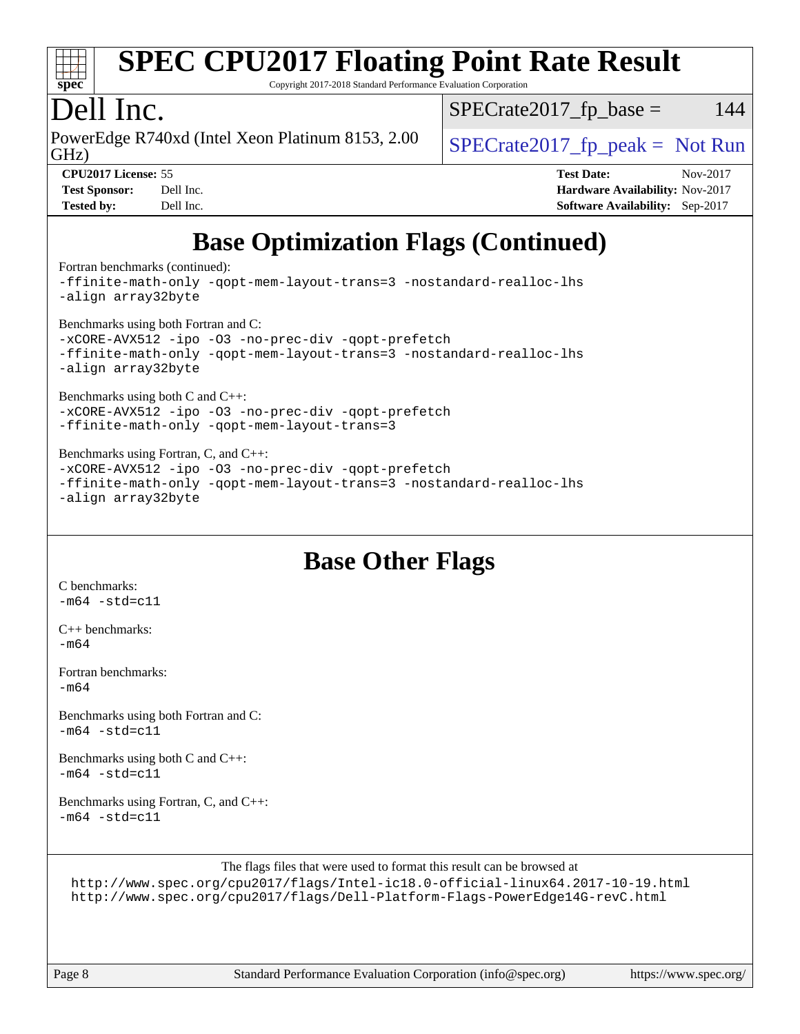

Copyright 2017-2018 Standard Performance Evaluation Corporation

#### Dell Inc.

GHz) PowerEdge R740xd (Intel Xeon Platinum 8153, 2.00  $\big|$  SPECrate 2017 fp peak = Not Run

 $SPECTate2017<sub>fr</sub> base = 144$ 

| <b>Test Sponsor:</b> | Dell Inc. |
|----------------------|-----------|
| <b>Tested by:</b>    | Dell Inc. |

**[CPU2017 License:](http://www.spec.org/auto/cpu2017/Docs/result-fields.html#CPU2017License)** 55 **[Test Date:](http://www.spec.org/auto/cpu2017/Docs/result-fields.html#TestDate)** Nov-2017

**[Hardware Availability:](http://www.spec.org/auto/cpu2017/Docs/result-fields.html#HardwareAvailability)** Nov-2017 **[Software Availability:](http://www.spec.org/auto/cpu2017/Docs/result-fields.html#SoftwareAvailability)** Sep-2017

## **[Base Optimization Flags \(Continued\)](http://www.spec.org/auto/cpu2017/Docs/result-fields.html#BaseOptimizationFlags)**

[Fortran benchmarks](http://www.spec.org/auto/cpu2017/Docs/result-fields.html#Fortranbenchmarks) (continued):

[-ffinite-math-only](http://www.spec.org/cpu2017/results/res2017q4/cpu2017-20171208-01366.flags.html#user_FCbase_f_finite_math_only_cb91587bd2077682c4b38af759c288ed7c732db004271a9512da14a4f8007909a5f1427ecbf1a0fb78ff2a814402c6114ac565ca162485bbcae155b5e4258871) [-qopt-mem-layout-trans=3](http://www.spec.org/cpu2017/results/res2017q4/cpu2017-20171208-01366.flags.html#user_FCbase_f-qopt-mem-layout-trans_de80db37974c74b1f0e20d883f0b675c88c3b01e9d123adea9b28688d64333345fb62bc4a798493513fdb68f60282f9a726aa07f478b2f7113531aecce732043) [-nostandard-realloc-lhs](http://www.spec.org/cpu2017/results/res2017q4/cpu2017-20171208-01366.flags.html#user_FCbase_f_2003_std_realloc_82b4557e90729c0f113870c07e44d33d6f5a304b4f63d4c15d2d0f1fab99f5daaed73bdb9275d9ae411527f28b936061aa8b9c8f2d63842963b95c9dd6426b8a) [-align array32byte](http://www.spec.org/cpu2017/results/res2017q4/cpu2017-20171208-01366.flags.html#user_FCbase_align_array32byte_b982fe038af199962ba9a80c053b8342c548c85b40b8e86eb3cc33dee0d7986a4af373ac2d51c3f7cf710a18d62fdce2948f201cd044323541f22fc0fffc51b6)

[Benchmarks using both Fortran and C](http://www.spec.org/auto/cpu2017/Docs/result-fields.html#BenchmarksusingbothFortranandC):

[-xCORE-AVX512](http://www.spec.org/cpu2017/results/res2017q4/cpu2017-20171208-01366.flags.html#user_CC_FCbase_f-xCORE-AVX512) [-ipo](http://www.spec.org/cpu2017/results/res2017q4/cpu2017-20171208-01366.flags.html#user_CC_FCbase_f-ipo) [-O3](http://www.spec.org/cpu2017/results/res2017q4/cpu2017-20171208-01366.flags.html#user_CC_FCbase_f-O3) [-no-prec-div](http://www.spec.org/cpu2017/results/res2017q4/cpu2017-20171208-01366.flags.html#user_CC_FCbase_f-no-prec-div) [-qopt-prefetch](http://www.spec.org/cpu2017/results/res2017q4/cpu2017-20171208-01366.flags.html#user_CC_FCbase_f-qopt-prefetch) [-ffinite-math-only](http://www.spec.org/cpu2017/results/res2017q4/cpu2017-20171208-01366.flags.html#user_CC_FCbase_f_finite_math_only_cb91587bd2077682c4b38af759c288ed7c732db004271a9512da14a4f8007909a5f1427ecbf1a0fb78ff2a814402c6114ac565ca162485bbcae155b5e4258871) [-qopt-mem-layout-trans=3](http://www.spec.org/cpu2017/results/res2017q4/cpu2017-20171208-01366.flags.html#user_CC_FCbase_f-qopt-mem-layout-trans_de80db37974c74b1f0e20d883f0b675c88c3b01e9d123adea9b28688d64333345fb62bc4a798493513fdb68f60282f9a726aa07f478b2f7113531aecce732043) [-nostandard-realloc-lhs](http://www.spec.org/cpu2017/results/res2017q4/cpu2017-20171208-01366.flags.html#user_CC_FCbase_f_2003_std_realloc_82b4557e90729c0f113870c07e44d33d6f5a304b4f63d4c15d2d0f1fab99f5daaed73bdb9275d9ae411527f28b936061aa8b9c8f2d63842963b95c9dd6426b8a) [-align array32byte](http://www.spec.org/cpu2017/results/res2017q4/cpu2017-20171208-01366.flags.html#user_CC_FCbase_align_array32byte_b982fe038af199962ba9a80c053b8342c548c85b40b8e86eb3cc33dee0d7986a4af373ac2d51c3f7cf710a18d62fdce2948f201cd044323541f22fc0fffc51b6)

[Benchmarks using both C and C++](http://www.spec.org/auto/cpu2017/Docs/result-fields.html#BenchmarksusingbothCandCXX):

[-xCORE-AVX512](http://www.spec.org/cpu2017/results/res2017q4/cpu2017-20171208-01366.flags.html#user_CC_CXXbase_f-xCORE-AVX512) [-ipo](http://www.spec.org/cpu2017/results/res2017q4/cpu2017-20171208-01366.flags.html#user_CC_CXXbase_f-ipo) [-O3](http://www.spec.org/cpu2017/results/res2017q4/cpu2017-20171208-01366.flags.html#user_CC_CXXbase_f-O3) [-no-prec-div](http://www.spec.org/cpu2017/results/res2017q4/cpu2017-20171208-01366.flags.html#user_CC_CXXbase_f-no-prec-div) [-qopt-prefetch](http://www.spec.org/cpu2017/results/res2017q4/cpu2017-20171208-01366.flags.html#user_CC_CXXbase_f-qopt-prefetch) [-ffinite-math-only](http://www.spec.org/cpu2017/results/res2017q4/cpu2017-20171208-01366.flags.html#user_CC_CXXbase_f_finite_math_only_cb91587bd2077682c4b38af759c288ed7c732db004271a9512da14a4f8007909a5f1427ecbf1a0fb78ff2a814402c6114ac565ca162485bbcae155b5e4258871) [-qopt-mem-layout-trans=3](http://www.spec.org/cpu2017/results/res2017q4/cpu2017-20171208-01366.flags.html#user_CC_CXXbase_f-qopt-mem-layout-trans_de80db37974c74b1f0e20d883f0b675c88c3b01e9d123adea9b28688d64333345fb62bc4a798493513fdb68f60282f9a726aa07f478b2f7113531aecce732043)

[Benchmarks using Fortran, C, and C++:](http://www.spec.org/auto/cpu2017/Docs/result-fields.html#BenchmarksusingFortranCandCXX)

[-xCORE-AVX512](http://www.spec.org/cpu2017/results/res2017q4/cpu2017-20171208-01366.flags.html#user_CC_CXX_FCbase_f-xCORE-AVX512) [-ipo](http://www.spec.org/cpu2017/results/res2017q4/cpu2017-20171208-01366.flags.html#user_CC_CXX_FCbase_f-ipo) [-O3](http://www.spec.org/cpu2017/results/res2017q4/cpu2017-20171208-01366.flags.html#user_CC_CXX_FCbase_f-O3) [-no-prec-div](http://www.spec.org/cpu2017/results/res2017q4/cpu2017-20171208-01366.flags.html#user_CC_CXX_FCbase_f-no-prec-div) [-qopt-prefetch](http://www.spec.org/cpu2017/results/res2017q4/cpu2017-20171208-01366.flags.html#user_CC_CXX_FCbase_f-qopt-prefetch) [-ffinite-math-only](http://www.spec.org/cpu2017/results/res2017q4/cpu2017-20171208-01366.flags.html#user_CC_CXX_FCbase_f_finite_math_only_cb91587bd2077682c4b38af759c288ed7c732db004271a9512da14a4f8007909a5f1427ecbf1a0fb78ff2a814402c6114ac565ca162485bbcae155b5e4258871) [-qopt-mem-layout-trans=3](http://www.spec.org/cpu2017/results/res2017q4/cpu2017-20171208-01366.flags.html#user_CC_CXX_FCbase_f-qopt-mem-layout-trans_de80db37974c74b1f0e20d883f0b675c88c3b01e9d123adea9b28688d64333345fb62bc4a798493513fdb68f60282f9a726aa07f478b2f7113531aecce732043) [-nostandard-realloc-lhs](http://www.spec.org/cpu2017/results/res2017q4/cpu2017-20171208-01366.flags.html#user_CC_CXX_FCbase_f_2003_std_realloc_82b4557e90729c0f113870c07e44d33d6f5a304b4f63d4c15d2d0f1fab99f5daaed73bdb9275d9ae411527f28b936061aa8b9c8f2d63842963b95c9dd6426b8a) [-align array32byte](http://www.spec.org/cpu2017/results/res2017q4/cpu2017-20171208-01366.flags.html#user_CC_CXX_FCbase_align_array32byte_b982fe038af199962ba9a80c053b8342c548c85b40b8e86eb3cc33dee0d7986a4af373ac2d51c3f7cf710a18d62fdce2948f201cd044323541f22fc0fffc51b6)

### **[Base Other Flags](http://www.spec.org/auto/cpu2017/Docs/result-fields.html#BaseOtherFlags)**

[C benchmarks](http://www.spec.org/auto/cpu2017/Docs/result-fields.html#Cbenchmarks):  $-m64 - std = c11$  $-m64 - std = c11$ 

[C++ benchmarks:](http://www.spec.org/auto/cpu2017/Docs/result-fields.html#CXXbenchmarks) [-m64](http://www.spec.org/cpu2017/results/res2017q4/cpu2017-20171208-01366.flags.html#user_CXXbase_intel_intel64_18.0_af43caccfc8ded86e7699f2159af6efc7655f51387b94da716254467f3c01020a5059329e2569e4053f409e7c9202a7efc638f7a6d1ffb3f52dea4a3e31d82ab)

[Fortran benchmarks](http://www.spec.org/auto/cpu2017/Docs/result-fields.html#Fortranbenchmarks):  $-m64$ 

[Benchmarks using both Fortran and C](http://www.spec.org/auto/cpu2017/Docs/result-fields.html#BenchmarksusingbothFortranandC):  $-m64 - std = c11$  $-m64 - std = c11$ 

[Benchmarks using both C and C++](http://www.spec.org/auto/cpu2017/Docs/result-fields.html#BenchmarksusingbothCandCXX):  $-m64$   $-std=cl1$ 

[Benchmarks using Fortran, C, and C++:](http://www.spec.org/auto/cpu2017/Docs/result-fields.html#BenchmarksusingFortranCandCXX)  $-m64$   $-std=cl1$ 

The flags files that were used to format this result can be browsed at

<http://www.spec.org/cpu2017/flags/Intel-ic18.0-official-linux64.2017-10-19.html> <http://www.spec.org/cpu2017/flags/Dell-Platform-Flags-PowerEdge14G-revC.html>